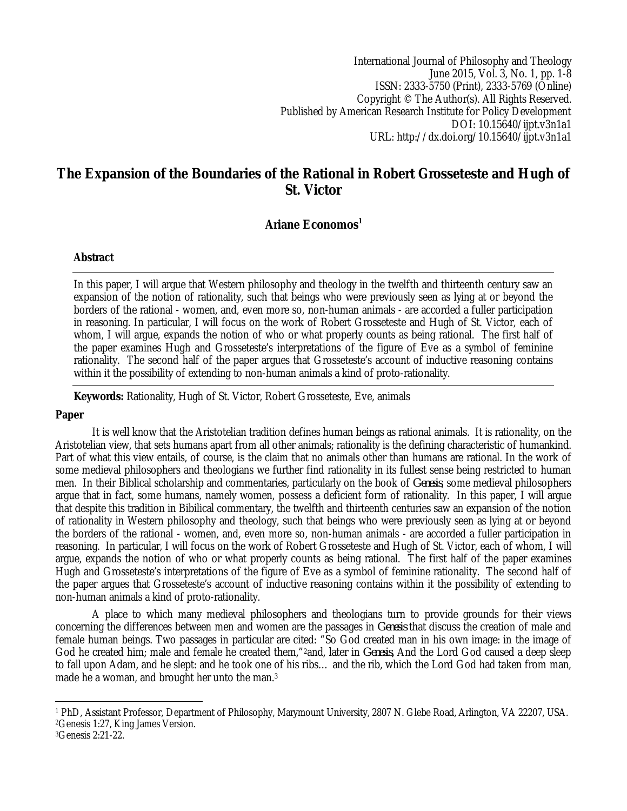International Journal of Philosophy and Theology June 2015, Vol. 3, No. 1, pp. 1-8 ISSN: 2333-5750 (Print), 2333-5769 (Online) Copyright © The Author(s). All Rights Reserved. Published by American Research Institute for Policy Development DOI: 10.15640/ijpt.v3n1a1 URL: http://dx.doi.org/10.15640/ijpt.v3n1a1

# **The Expansion of the Boundaries of the Rational in Robert Grosseteste and Hugh of St. Victor**

## **Ariane Economos<sup>1</sup>**

## **Abstract**

In this paper, I will argue that Western philosophy and theology in the twelfth and thirteenth century saw an expansion of the notion of rationality, such that beings who were previously seen as lying at or beyond the borders of the rational - women, and, even more so, non-human animals - are accorded a fuller participation in reasoning. In particular, I will focus on the work of Robert Grosseteste and Hugh of St. Victor, each of whom, I will argue, expands the notion of who or what properly counts as being rational. The first half of the paper examines Hugh and Grosseteste's interpretations of the figure of Eve as a symbol of feminine rationality. The second half of the paper argues that Grosseteste's account of inductive reasoning contains within it the possibility of extending to non-human animals a kind of proto-rationality.

**Keywords:** Rationality, Hugh of St. Victor, Robert Grosseteste, Eve, animals

## **Paper**

It is well know that the Aristotelian tradition defines human beings as rational animals. It is rationality, on the Aristotelian view, that sets humans apart from all other animals; rationality is the defining characteristic of humankind. Part of what this view entails, of course, is the claim that no animals other than humans are rational. In the work of some medieval philosophers and theologians we further find rationality in its fullest sense being restricted to human men. In their Biblical scholarship and commentaries, particularly on the book of *Genesis*, some medieval philosophers argue that in fact, some humans, namely women, possess a deficient form of rationality. In this paper, I will argue that despite this tradition in Bibilical commentary, the twelfth and thirteenth centuries saw an expansion of the notion of rationality in Western philosophy and theology, such that beings who were previously seen as lying at or beyond the borders of the rational - women, and, even more so, non-human animals - are accorded a fuller participation in reasoning. In particular, I will focus on the work of Robert Grosseteste and Hugh of St. Victor, each of whom, I will argue, expands the notion of who or what properly counts as being rational. The first half of the paper examines Hugh and Grosseteste's interpretations of the figure of Eve as a symbol of feminine rationality. The second half of the paper argues that Grosseteste's account of inductive reasoning contains within it the possibility of extending to non-human animals a kind of proto-rationality.

A place to which many medieval philosophers and theologians turn to provide grounds for their views concerning the differences between men and women are the passages in *Genesis* that discuss the creation of male and female human beings. Two passages in particular are cited: "So God created man in his own image: in the image of God he created him; male and female he created them,"2and, later in *Genesis,* And the Lord God caused a deep sleep to fall upon Adam, and he slept: and he took one of his ribs… and the rib, which the Lord God had taken from man, made he a woman, and brought her unto the man.<sup>3</sup>

 $\overline{\phantom{a}}$ <sup>1</sup> PhD, Assistant Professor, Department of Philosophy, Marymount University, 2807 N. Glebe Road, Arlington, VA 22207, USA. <sup>2</sup>Genesis 1:27, King James Version.

<sup>3</sup>Genesis 2:21-22.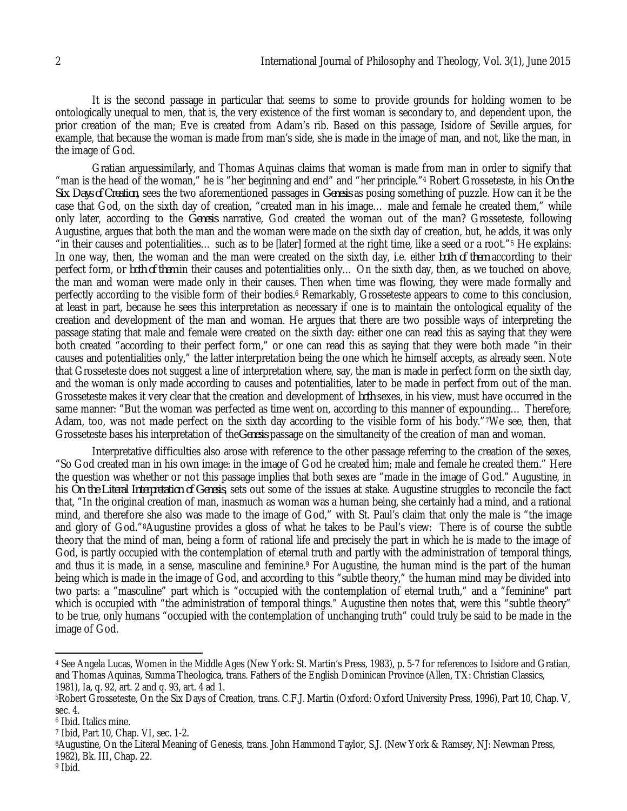It is the second passage in particular that seems to some to provide grounds for holding women to be ontologically unequal to men, that is, the very existence of the first woman is secondary to, and dependent upon, the prior creation of the man; Eve is created from Adam's rib. Based on this passage, Isidore of Seville argues, for example, that because the woman is made from man's side, she is made in the image of man, and not, like the man, in the image of God.

Gratian arguessimilarly, and Thomas Aquinas claims that woman is made from man in order to signify that "man is the head of the woman," he is "her beginning and end" and "her principle."<sup>4</sup> Robert Grosseteste, in his *On the Six Days of Creation*, sees the two aforementioned passages in *Genesis* as posing something of puzzle. How can it be the case that God, on the sixth day of creation, "created man in his image… male and female he created them," while only later, according to the *Genesis* narrative, God created the woman out of the man? Grosseteste, following Augustine, argues that both the man and the woman were made on the sixth day of creation, but, he adds, it was only "in their causes and potentialities… such as to be [later] formed at the right time, like a seed or a root."<sup>5</sup> He explains: In one way, then, the woman and the man were created on the sixth day, i.e. either *both of them* according to their perfect form, or *both of them* in their causes and potentialities only… On the sixth day, then, as we touched on above, the man and woman were made only in their causes. Then when time was flowing, they were made formally and perfectly according to the visible form of their bodies.<sup>6</sup> Remarkably, Grosseteste appears to come to this conclusion, at least in part, because he sees this interpretation as necessary if one is to maintain the ontological equality of the creation and development of the man and woman. He argues that there are two possible ways of interpreting the passage stating that male and female were created on the sixth day: either one can read this as saying that they were both created "according to their perfect form," or one can read this as saying that they were both made "in their causes and potentialities only," the latter interpretation being the one which he himself accepts, as already seen. Note that Grosseteste does not suggest a line of interpretation where, say, the man is made in perfect form on the sixth day, and the woman is only made according to causes and potentialities, later to be made in perfect from out of the man. Grosseteste makes it very clear that the creation and development of *both* sexes, in his view, must have occurred in the same manner: "But the woman was perfected as time went on, according to this manner of expounding… Therefore, Adam, too, was not made perfect on the sixth day according to the visible form of his body."7We see, then, that Grosseteste bases his interpretation of the*Genesis* passage on the simultaneity of the creation of man and woman.

Interpretative difficulties also arose with reference to the other passage referring to the creation of the sexes, "So God created man in his own image: in the image of God he created him; male and female he created them." Here the question was whether or not this passage implies that both sexes are "made in the image of God." Augustine, in his *On the Literal Interpretation of Genesis*, sets out some of the issues at stake. Augustine struggles to reconcile the fact that, "In the original creation of man, inasmuch as woman was a human being, she certainly had a mind, and a rational mind, and therefore she also was made to the image of God," with St. Paul's claim that only the male is "the image and glory of God."8Augustine provides a gloss of what he takes to be Paul's view: There is of course the subtle theory that the mind of man, being a form of rational life and precisely the part in which he is made to the image of God, is partly occupied with the contemplation of eternal truth and partly with the administration of temporal things, and thus it is made, in a sense, masculine and feminine.<sup>9</sup> For Augustine, the human mind is the part of the human being which is made in the image of God, and according to this "subtle theory," the human mind may be divided into two parts: a "masculine" part which is "occupied with the contemplation of eternal truth," and a "feminine" part which is occupied with "the administration of temporal things." Augustine then notes that, were this "subtle theory" to be true, only humans "occupied with the contemplation of unchanging truth" could truly be said to be made in the image of God.

 $\overline{\phantom{a}}$ 

<sup>4</sup> See Angela Lucas, Women in the Middle Ages (New York: St. Martin's Press, 1983), p. 5-7 for references to Isidore and Gratian, and Thomas Aquinas, Summa Theologica, trans. Fathers of the English Dominican Province (Allen, TX: Christian Classics, 1981), Ia, q. 92, art. 2 and q. 93, art. 4 ad 1.

<sup>5</sup>Robert Grosseteste, On the Six Days of Creation, trans. C.F.J. Martin (Oxford: Oxford University Press, 1996), Part 10, Chap. V, sec. 4.

<sup>6</sup> Ibid. Italics mine.

<sup>7</sup> Ibid, Part 10, Chap. VI, sec. 1-2.

<sup>8</sup>Augustine, On the Literal Meaning of Genesis, trans. John Hammond Taylor, S.J. (New York & Ramsey, NJ: Newman Press, 1982), Bk. III, Chap. 22.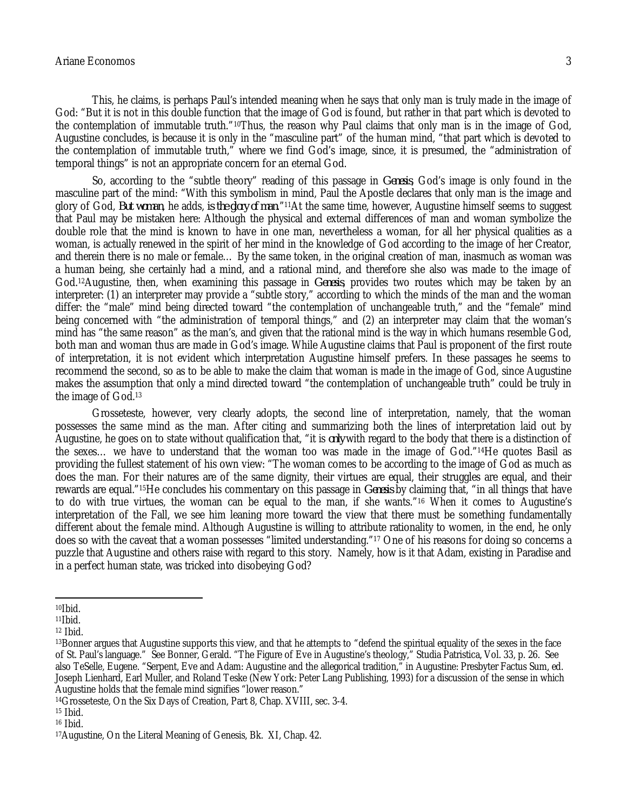#### Ariane Economos 3

This, he claims, is perhaps Paul's intended meaning when he says that only man is truly made in the image of God: "But it is not in this double function that the image of God is found, but rather in that part which is devoted to the contemplation of immutable truth."10Thus, the reason why Paul claims that only man is in the image of God, Augustine concludes, is because it is only in the "masculine part" of the human mind, "that part which is devoted to the contemplation of immutable truth," where we find God's image, since, it is presumed, the "administration of temporal things" is not an appropriate concern for an eternal God.

So, according to the "subtle theory" reading of this passage in *Genesis*, God's image is only found in the masculine part of the mind: "With this symbolism in mind, Paul the Apostle declares that only man is the image and glory of God, *But woman*, he adds, *is the glory of man*."11At the same time, however, Augustine himself seems to suggest that Paul may be mistaken here: Although the physical and external differences of man and woman symbolize the double role that the mind is known to have in one man, nevertheless a woman, for all her physical qualities as a woman, is actually renewed in the spirit of her mind in the knowledge of God according to the image of her Creator, and therein there is no male or female… By the same token, in the original creation of man, inasmuch as woman was a human being, she certainly had a mind, and a rational mind, and therefore she also was made to the image of God.12Augustine, then, when examining this passage in *Genesis*, provides two routes which may be taken by an interpreter: (1) an interpreter may provide a "subtle story," according to which the minds of the man and the woman differ: the "male" mind being directed toward "the contemplation of unchangeable truth," and the "female" mind being concerned with "the administration of temporal things," and (2) an interpreter may claim that the woman's mind has "the same reason" as the man's, and given that the rational mind is the way in which humans resemble God, both man and woman thus are made in God's image. While Augustine claims that Paul is proponent of the first route of interpretation, it is not evident which interpretation Augustine himself prefers. In these passages he seems to recommend the second, so as to be able to make the claim that woman is made in the image of God, since Augustine makes the assumption that only a mind directed toward "the contemplation of unchangeable truth" could be truly in the image of God.<sup>13</sup>

Grosseteste, however, very clearly adopts, the second line of interpretation, namely, that the woman possesses the same mind as the man. After citing and summarizing both the lines of interpretation laid out by Augustine, he goes on to state without qualification that, "it is *only* with regard to the body that there is a distinction of the sexes… we have to understand that the woman too was made in the image of God."14He quotes Basil as providing the fullest statement of his own view: "The woman comes to be according to the image of God as much as does the man. For their natures are of the same dignity, their virtues are equal, their struggles are equal, and their rewards are equal."15He concludes his commentary on this passage in *Genesis* by claiming that, "in all things that have to do with true virtues, the woman can be equal to the man, if she wants."<sup>16</sup> When it comes to Augustine's interpretation of the Fall, we see him leaning more toward the view that there must be something fundamentally different about the female mind. Although Augustine is willing to attribute rationality to women, in the end, he only does so with the caveat that a woman possesses "limited understanding."<sup>17</sup> One of his reasons for doing so concerns a puzzle that Augustine and others raise with regard to this story. Namely, how is it that Adam, existing in Paradise and in a perfect human state, was tricked into disobeying God?

 $\overline{a}$  $10$ Ibid.

 $11$  | bid.

<sup>12</sup> Ibid.

<sup>13</sup>Bonner argues that Augustine supports this view, and that he attempts to "defend the spiritual equality of the sexes in the face of St. Paul's language." See Bonner, Gerald. "The Figure of Eve in Augustine's theology," Studia Patristica, Vol. 33, p. 26. See also TeSelle, Eugene. "Serpent, Eve and Adam: Augustine and the allegorical tradition," in Augustine: Presbyter Factus Sum, ed. Joseph Lienhard, Earl Muller, and Roland Teske (New York: Peter Lang Publishing, 1993) for a discussion of the sense in which Augustine holds that the female mind signifies "lower reason."

<sup>14</sup>Grosseteste, On the Six Days of Creation, Part 8, Chap. XVIII, sec. 3-4.

<sup>15</sup> Ibid.

<sup>16</sup> Ibid.

<sup>17</sup>Augustine, On the Literal Meaning of Genesis, Bk. XI, Chap. 42.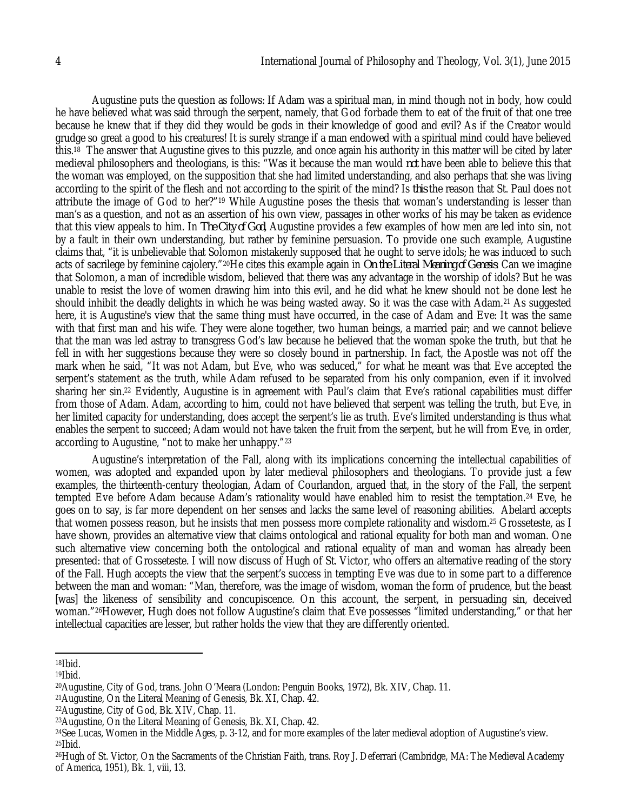Augustine puts the question as follows: If Adam was a spiritual man, in mind though not in body, how could he have believed what was said through the serpent, namely, that God forbade them to eat of the fruit of that one tree because he knew that if they did they would be gods in their knowledge of good and evil? As if the Creator would grudge so great a good to his creatures! It is surely strange if a man endowed with a spiritual mind could have believed this.<sup>18</sup> The answer that Augustine gives to this puzzle, and once again his authority in this matter will be cited by later medieval philosophers and theologians, is this: "Was it because the man would *not* have been able to believe this that the woman was employed, on the supposition that she had limited understanding, and also perhaps that she was living according to the spirit of the flesh and not according to the spirit of the mind? Is *this* the reason that St. Paul does not attribute the image of God to her?"<sup>19</sup> While Augustine poses the thesis that woman's understanding is lesser than man's as a question, and not as an assertion of his own view, passages in other works of his may be taken as evidence that this view appeals to him. In *The City of God*, Augustine provides a few examples of how men are led into sin, not by a fault in their own understanding, but rather by feminine persuasion. To provide one such example, Augustine claims that, "it is unbelievable that Solomon mistakenly supposed that he ought to serve idols; he was induced to such acts of sacrilege by feminine cajolery."20He cites this example again in *On the Literal Meaning of Genesis*: Can we imagine that Solomon, a man of incredible wisdom, believed that there was any advantage in the worship of idols? But he was unable to resist the love of women drawing him into this evil, and he did what he knew should not be done lest he should inhibit the deadly delights in which he was being wasted away. So it was the case with Adam.<sup>21</sup> As suggested here, it is Augustine's view that the same thing must have occurred, in the case of Adam and Eve: It was the same with that first man and his wife. They were alone together, two human beings, a married pair; and we cannot believe that the man was led astray to transgress God's law because he believed that the woman spoke the truth, but that he fell in with her suggestions because they were so closely bound in partnership. In fact, the Apostle was not off the mark when he said, "It was not Adam, but Eve, who was seduced," for what he meant was that Eve accepted the serpent's statement as the truth, while Adam refused to be separated from his only companion, even if it involved sharing her sin.<sup>22</sup> Evidently, Augustine is in agreement with Paul's claim that Eve's rational capabilities must differ from those of Adam. Adam, according to him, could not have believed that serpent was telling the truth, but Eve, in her limited capacity for understanding, does accept the serpent's lie as truth. Eve's limited understanding is thus what enables the serpent to succeed; Adam would not have taken the fruit from the serpent, but he will from Eve, in order, according to Augustine, "not to make her unhappy."<sup>23</sup>

Augustine's interpretation of the Fall, along with its implications concerning the intellectual capabilities of women, was adopted and expanded upon by later medieval philosophers and theologians. To provide just a few examples, the thirteenth-century theologian, Adam of Courlandon, argued that, in the story of the Fall, the serpent tempted Eve before Adam because Adam's rationality would have enabled him to resist the temptation.<sup>24</sup> Eve, he goes on to say, is far more dependent on her senses and lacks the same level of reasoning abilities. Abelard accepts that women possess reason, but he insists that men possess more complete rationality and wisdom.<sup>25</sup> Grosseteste, as I have shown, provides an alternative view that claims ontological and rational equality for both man and woman. One such alternative view concerning both the ontological and rational equality of man and woman has already been presented: that of Grosseteste. I will now discuss of Hugh of St. Victor, who offers an alternative reading of the story of the Fall. Hugh accepts the view that the serpent's success in tempting Eve was due to in some part to a difference between the man and woman: "Man, therefore, was the image of wisdom, woman the form of prudence, but the beast [was] the likeness of sensibility and concupiscence. On this account, the serpent, in persuading sin, deceived woman."26However, Hugh does not follow Augustine's claim that Eve possesses "limited understanding," or that her intellectual capacities are lesser, but rather holds the view that they are differently oriented.

 $\overline{\phantom{a}}$ 

 $19$  I bid.

 $18$ Ibid.

<sup>20</sup>Augustine, City of God, trans. John O'Meara (London: Penguin Books, 1972), Bk. XIV, Chap. 11.

<sup>21</sup>Augustine, On the Literal Meaning of Genesis, Bk. XI, Chap. 42.

<sup>22</sup>Augustine, City of God, Bk. XIV, Chap. 11.

<sup>23</sup>Augustine, On the Literal Meaning of Genesis, Bk. XI, Chap. 42.

<sup>24</sup>See Lucas, Women in the Middle Ages, p. 3-12, and for more examples of the later medieval adoption of Augustine's view.  $25$ Ibid.

<sup>26</sup>Hugh of St. Victor, On the Sacraments of the Christian Faith, trans. Roy J. Deferrari (Cambridge, MA: The Medieval Academy of America, 1951), Bk. 1, viii, 13.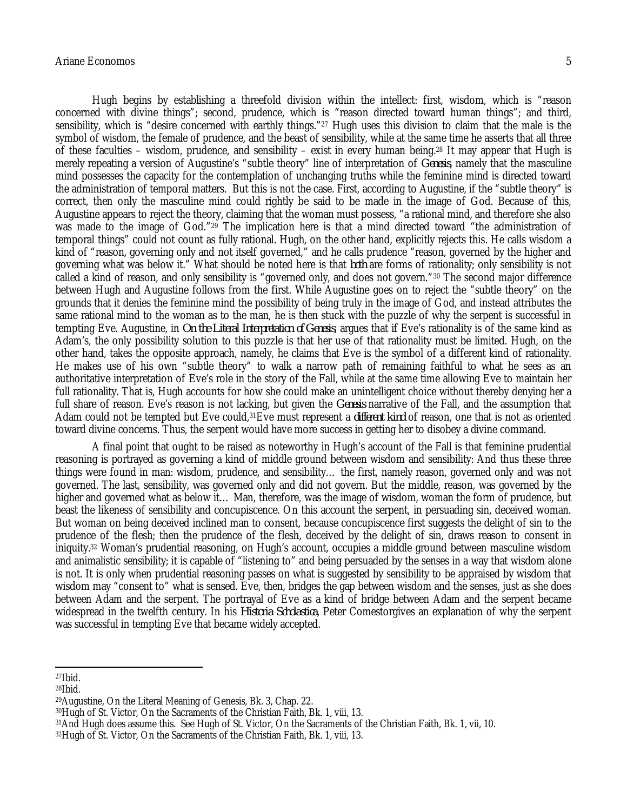### Ariane Economos 5

Hugh begins by establishing a threefold division within the intellect: first, wisdom, which is "reason concerned with divine things"; second, prudence, which is "reason directed toward human things"; and third, sensibility, which is "desire concerned with earthly things."<sup>27</sup> Hugh uses this division to claim that the male is the symbol of wisdom, the female of prudence, and the beast of sensibility, while at the same time he asserts that all three of these faculties – wisdom, prudence, and sensibility – exist in every human being.<sup>28</sup> It may appear that Hugh is merely repeating a version of Augustine's "subtle theory" line of interpretation of *Genesis*, namely that the masculine mind possesses the capacity for the contemplation of unchanging truths while the feminine mind is directed toward the administration of temporal matters. But this is not the case. First, according to Augustine, if the "subtle theory" is correct, then only the masculine mind could rightly be said to be made in the image of God. Because of this, Augustine appears to reject the theory, claiming that the woman must possess, "a rational mind, and therefore she also was made to the image of God."<sup>29</sup> The implication here is that a mind directed toward "the administration of temporal things" could not count as fully rational. Hugh, on the other hand, explicitly rejects this. He calls wisdom a kind of "reason, governing only and not itself governed," and he calls prudence "reason, governed by the higher and governing what was below it." What should be noted here is that *both* are forms of rationality; only sensibility is not called a kind of reason, and only sensibility is "governed only, and does not govern."<sup>30</sup> The second major difference between Hugh and Augustine follows from the first. While Augustine goes on to reject the "subtle theory" on the grounds that it denies the feminine mind the possibility of being truly in the image of God, and instead attributes the same rational mind to the woman as to the man, he is then stuck with the puzzle of why the serpent is successful in tempting Eve. Augustine, in *On the Literal Interpretation of Genesis*, argues that if Eve's rationality is of the same kind as Adam's, the only possibility solution to this puzzle is that her use of that rationality must be limited. Hugh, on the other hand, takes the opposite approach, namely, he claims that Eve is the symbol of a different kind of rationality. He makes use of his own "subtle theory" to walk a narrow path of remaining faithful to what he sees as an authoritative interpretation of Eve's role in the story of the Fall, while at the same time allowing Eve to maintain her full rationality. That is, Hugh accounts for how she could make an unintelligent choice without thereby denying her a full share of reason. Eve's reason is not lacking, but given the *Genesis* narrative of the Fall, and the assumption that Adam could not be tempted but Eve could,31Eve must represent a *different kind* of reason, one that is not as oriented toward divine concerns. Thus, the serpent would have more success in getting her to disobey a divine command.

A final point that ought to be raised as noteworthy in Hugh's account of the Fall is that feminine prudential reasoning is portrayed as governing a kind of middle ground between wisdom and sensibility: And thus these three things were found in man: wisdom, prudence, and sensibility… the first, namely reason, governed only and was not governed. The last, sensibility, was governed only and did not govern. But the middle, reason, was governed by the higher and governed what as below it… Man, therefore, was the image of wisdom, woman the form of prudence, but beast the likeness of sensibility and concupiscence. On this account the serpent, in persuading sin, deceived woman. But woman on being deceived inclined man to consent, because concupiscence first suggests the delight of sin to the prudence of the flesh; then the prudence of the flesh, deceived by the delight of sin, draws reason to consent in iniquity.<sup>32</sup> Woman's prudential reasoning, on Hugh's account, occupies a middle ground between masculine wisdom and animalistic sensibility; it is capable of "listening to" and being persuaded by the senses in a way that wisdom alone is not. It is only when prudential reasoning passes on what is suggested by sensibility to be appraised by wisdom that wisdom may "consent to" what is sensed. Eve, then, bridges the gap between wisdom and the senses, just as she does between Adam and the serpent. The portrayal of Eve as a kind of bridge between Adam and the serpent became widespread in the twelfth century. In his *Historia Scholastica*, Peter Comestorgives an explanation of why the serpent was successful in tempting Eve that became widely accepted.

 $\overline{a}$ 

 $27$  $Ibid.$ 

 $28$  $I$ bid.

<sup>29</sup>Augustine, On the Literal Meaning of Genesis, Bk. 3, Chap. 22.

<sup>30</sup>Hugh of St. Victor, On the Sacraments of the Christian Faith, Bk. 1, viii, 13.

<sup>31</sup>And Hugh does assume this. See Hugh of St. Victor, On the Sacraments of the Christian Faith, Bk. 1, vii, 10.

<sup>32</sup>Hugh of St. Victor, On the Sacraments of the Christian Faith, Bk. 1, viii, 13.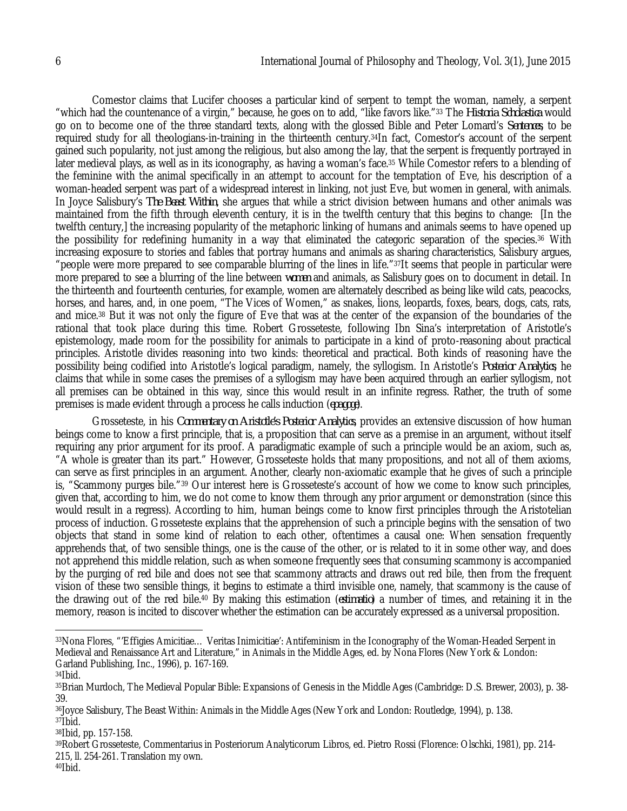Comestor claims that Lucifer chooses a particular kind of serpent to tempt the woman, namely, a serpent "which had the countenance of a virgin," because, he goes on to add, "like favors like."<sup>33</sup> The *Historia Scholastica* would go on to become one of the three standard texts, along with the glossed Bible and Peter Lomard's *Sentences*, to be required study for all theologians-in-training in the thirteenth century.34In fact, Comestor's account of the serpent gained such popularity, not just among the religious, but also among the lay, that the serpent is frequently portrayed in later medieval plays, as well as in its iconography, as having a woman's face.<sup>35</sup> While Comestor refers to a blending of the feminine with the animal specifically in an attempt to account for the temptation of Eve, his description of a woman-headed serpent was part of a widespread interest in linking, not just Eve, but women in general, with animals. In Joyce Salisbury's *The Beast Within*, she argues that while a strict division between humans and other animals was maintained from the fifth through eleventh century, it is in the twelfth century that this begins to change: [In the twelfth century,] the increasing popularity of the metaphoric linking of humans and animals seems to have opened up the possibility for redefining humanity in a way that eliminated the categoric separation of the species.<sup>36</sup> With increasing exposure to stories and fables that portray humans and animals as sharing characteristics, Salisbury argues, "people were more prepared to see comparable blurring of the lines in life."37It seems that people in particular were more prepared to see a blurring of the line between *women* and animals, as Salisbury goes on to document in detail. In the thirteenth and fourteenth centuries, for example, women are alternately described as being like wild cats, peacocks, horses, and hares, and, in one poem, "The Vices of Women," as snakes, lions, leopards, foxes, bears, dogs, cats, rats, and mice.<sup>38</sup> But it was not only the figure of Eve that was at the center of the expansion of the boundaries of the rational that took place during this time. Robert Grosseteste, following Ibn Sina's interpretation of Aristotle's epistemology, made room for the possibility for animals to participate in a kind of proto-reasoning about practical principles. Aristotle divides reasoning into two kinds: theoretical and practical. Both kinds of reasoning have the possibility being codified into Aristotle's logical paradigm, namely, the syllogism. In Aristotle's *Posterior Analytics*, he claims that while in some cases the premises of a syllogism may have been acquired through an earlier syllogism, not all premises can be obtained in this way, since this would result in an infinite regress. Rather, the truth of some premises is made evident through a process he calls induction (*epagoge*).

Grosseteste, in his *Commentary on Aristotle's Posterior Analytics*, provides an extensive discussion of how human beings come to know a first principle, that is, a proposition that can serve as a premise in an argument, without itself requiring any prior argument for its proof. A paradigmatic example of such a principle would be an axiom, such as, "A whole is greater than its part." However, Grosseteste holds that many propositions, and not all of them axioms, can serve as first principles in an argument. Another, clearly non-axiomatic example that he gives of such a principle is, "Scammony purges bile."<sup>39</sup> Our interest here is Grosseteste's account of how we come to know such principles, given that, according to him, we do not come to know them through any prior argument or demonstration (since this would result in a regress). According to him, human beings come to know first principles through the Aristotelian process of induction. Grosseteste explains that the apprehension of such a principle begins with the sensation of two objects that stand in some kind of relation to each other, oftentimes a causal one: When sensation frequently apprehends that, of two sensible things, one is the cause of the other, or is related to it in some other way, and does not apprehend this middle relation, such as when someone frequently sees that consuming scammony is accompanied by the purging of red bile and does not see that scammony attracts and draws out red bile, then from the frequent vision of these two sensible things, it begins to estimate a third invisible one, namely, that scammony is the cause of the drawing out of the red bile.<sup>40</sup> By making this estimation (*estimatio*) a number of times, and retaining it in the memory, reason is incited to discover whether the estimation can be accurately expressed as a universal proposition.

 $\overline{a}$ 

<sup>38</sup>Ibid, pp. 157-158.

<sup>39</sup>Robert Grosseteste, Commentarius in Posteriorum Analyticorum Libros, ed. Pietro Rossi (Florence: Olschki, 1981), pp. 214- 215, ll. 254-261. Translation my own.

 $40$  | bid.

<sup>33</sup>Nona Flores, "'Effigies Amicitiae… Veritas Inimicitiae': Antifeminism in the Iconography of the Woman-Headed Serpent in Medieval and Renaissance Art and Literature," in Animals in the Middle Ages, ed. by Nona Flores (New York & London: Garland Publishing, Inc., 1996), p. 167-169.

<sup>34</sup>Ibid.

<sup>35</sup>Brian Murdoch, The Medieval Popular Bible: Expansions of Genesis in the Middle Ages (Cambridge: D.S. Brewer, 2003), p. 38- 39.

<sup>36</sup>Joyce Salisbury, The Beast Within: Animals in the Middle Ages (New York and London: Routledge, 1994), p. 138.  $37$  $Ibid.$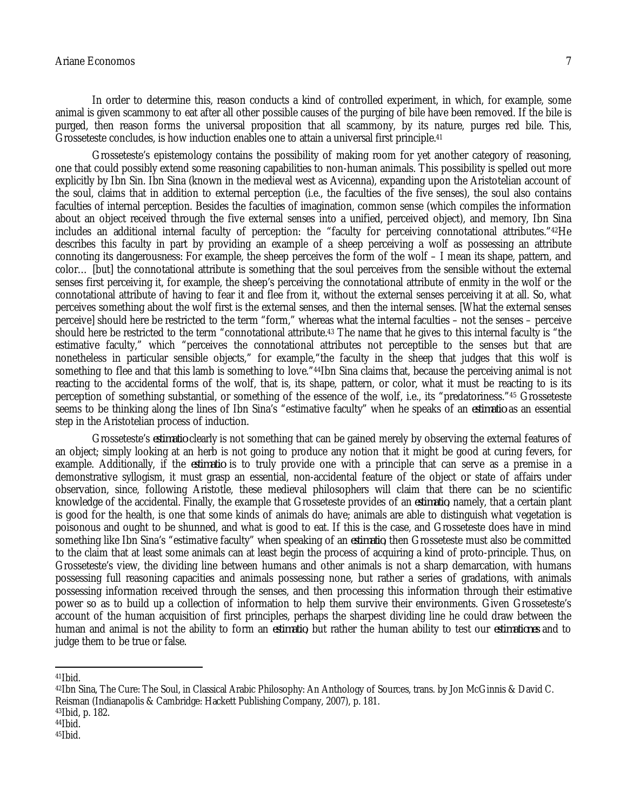#### Ariane Economos 7

In order to determine this, reason conducts a kind of controlled experiment, in which, for example, some animal is given scammony to eat after all other possible causes of the purging of bile have been removed. If the bile is purged, then reason forms the universal proposition that all scammony, by its nature, purges red bile. This, Grosseteste concludes, is how induction enables one to attain a universal first principle.<sup>41</sup>

Grosseteste's epistemology contains the possibility of making room for yet another category of reasoning, one that could possibly extend some reasoning capabilities to non-human animals. This possibility is spelled out more explicitly by Ibn Sin. Ibn Sina (known in the medieval west as Avicenna), expanding upon the Aristotelian account of the soul, claims that in addition to external perception (i.e., the faculties of the five senses), the soul also contains faculties of internal perception. Besides the faculties of imagination, common sense (which compiles the information about an object received through the five external senses into a unified, perceived object), and memory, Ibn Sina includes an additional internal faculty of perception: the "faculty for perceiving connotational attributes."42He describes this faculty in part by providing an example of a sheep perceiving a wolf as possessing an attribute connoting its dangerousness: For example, the sheep perceives the form of the wolf – I mean its shape, pattern, and color… [but] the connotational attribute is something that the soul perceives from the sensible without the external senses first perceiving it, for example, the sheep's perceiving the connotational attribute of enmity in the wolf or the connotational attribute of having to fear it and flee from it, without the external senses perceiving it at all. So, what perceives something about the wolf first is the external senses, and then the internal senses. [What the external senses perceive] should here be restricted to the term "form," whereas what the internal faculties – not the senses – perceive should here be restricted to the term "connotational attribute.<sup>43</sup> The name that he gives to this internal faculty is "the estimative faculty," which "perceives the connotational attributes not perceptible to the senses but that are nonetheless in particular sensible objects," for example,"the faculty in the sheep that judges that this wolf is something to flee and that this lamb is something to love."<sup>44</sup>Ibn Sina claims that, because the perceiving animal is not reacting to the accidental forms of the wolf, that is, its shape, pattern, or color, what it must be reacting to is its perception of something substantial, or something of the essence of the wolf, i.e., its "predatoriness."<sup>45</sup> Grosseteste seems to be thinking along the lines of Ibn Sina's "estimative faculty" when he speaks of an *estimatio* as an essential step in the Aristotelian process of induction.

Grosseteste's *estimatio* clearly is not something that can be gained merely by observing the external features of an object; simply looking at an herb is not going to produce any notion that it might be good at curing fevers, for example. Additionally, if the *estimatio* is to truly provide one with a principle that can serve as a premise in a demonstrative syllogism, it must grasp an essential, non-accidental feature of the object or state of affairs under observation, since, following Aristotle, these medieval philosophers will claim that there can be no scientific knowledge of the accidental. Finally, the example that Grosseteste provides of an *estimatio*, namely, that a certain plant is good for the health, is one that some kinds of animals do have; animals are able to distinguish what vegetation is poisonous and ought to be shunned, and what is good to eat. If this is the case, and Grosseteste does have in mind something like Ibn Sina's "estimative faculty" when speaking of an *estimatio*, then Grosseteste must also be committed to the claim that at least some animals can at least begin the process of acquiring a kind of proto-principle. Thus, on Grosseteste's view, the dividing line between humans and other animals is not a sharp demarcation, with humans possessing full reasoning capacities and animals possessing none, but rather a series of gradations, with animals possessing information received through the senses, and then processing this information through their estimative power so as to build up a collection of information to help them survive their environments. Given Grosseteste's account of the human acquisition of first principles, perhaps the sharpest dividing line he could draw between the human and animal is not the ability to form an *estimatio*, but rather the human ability to test our *estimationes* and to judge them to be true or false.

<sup>43</sup>Ibid, p. 182.

 $45$  $Ibid.$ 

 $\overline{a}$  $41$ Ibid.

<sup>42</sup>Ibn Sina, The Cure: The Soul, in Classical Arabic Philosophy: An Anthology of Sources, trans. by Jon McGinnis & David C. Reisman (Indianapolis & Cambridge: Hackett Publishing Company, 2007), p. 181.

 $44$  | bid.